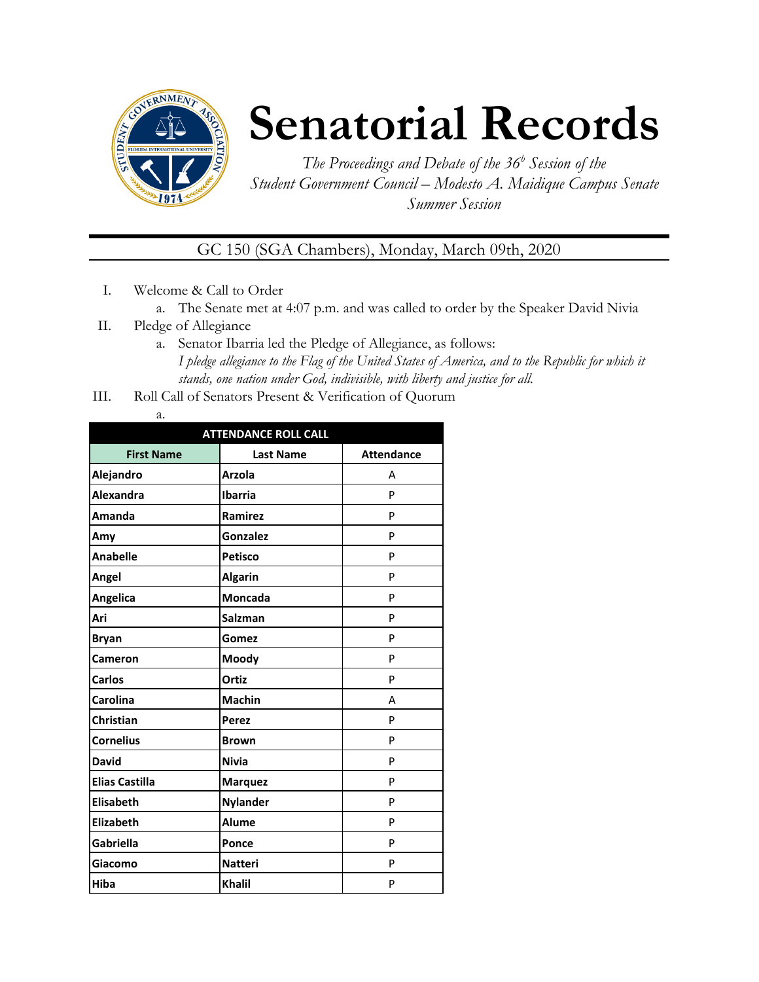

# **Senatorial Records**

*The Proceedings and Debate of the 36 <sup>h</sup> Session of the Student Government Council – Modesto A. Maidique Campus Senate Summer Session*

GC 150 (SGA Chambers), Monday, March 09th, 2020

- I. Welcome & Call to Order
	- a. The Senate met at 4:07 p.m. and was called to order by the Speaker David Nivia
- II. Pledge of Allegiance
	- a. Senator Ibarria led the Pledge of Allegiance, as follows: *I pledge allegiance to the Flag of the United States of America, and to the Republic for which it stands, one nation under God, indivisible, with liberty and justice for all.*
- III. Roll Call of Senators Present & Verification of Quorum

| . .<br>÷<br>۰. |
|----------------|

| <b>ATTENDANCE ROLL CALL</b> |                  |                   |  |  |  |  |
|-----------------------------|------------------|-------------------|--|--|--|--|
| <b>First Name</b>           | <b>Last Name</b> | <b>Attendance</b> |  |  |  |  |
| Alejandro                   | <b>Arzola</b>    | А                 |  |  |  |  |
| <b>Alexandra</b>            | <b>Ibarria</b>   | P                 |  |  |  |  |
| Amanda                      | Ramirez          | P                 |  |  |  |  |
| Amy                         | Gonzalez         | P                 |  |  |  |  |
| <b>Anabelle</b>             | <b>Petisco</b>   | P                 |  |  |  |  |
| Angel                       | <b>Algarin</b>   | P                 |  |  |  |  |
| Angelica                    | <b>Moncada</b>   | P                 |  |  |  |  |
| Ari                         | <b>Salzman</b>   | P                 |  |  |  |  |
| <b>Bryan</b>                | Gomez            | P                 |  |  |  |  |
| Cameron                     | Moody            | P                 |  |  |  |  |
| <b>Carlos</b>               | Ortiz            | P                 |  |  |  |  |
| Carolina                    | <b>Machin</b>    | А                 |  |  |  |  |
| Christian                   | <b>Perez</b>     | P                 |  |  |  |  |
| <b>Cornelius</b>            | <b>Brown</b>     | P                 |  |  |  |  |
| <b>David</b>                | <b>Nivia</b>     | P                 |  |  |  |  |
| <b>Elias Castilla</b>       | <b>Marquez</b>   | P                 |  |  |  |  |
| <b>Elisabeth</b>            | <b>Nylander</b>  | P                 |  |  |  |  |
| Elizabeth                   | <b>Alume</b>     | P                 |  |  |  |  |
| Gabriella                   | Ponce            | P                 |  |  |  |  |
| Giacomo                     | <b>Natteri</b>   | P                 |  |  |  |  |
| Hiba                        | <b>Khalil</b>    | P                 |  |  |  |  |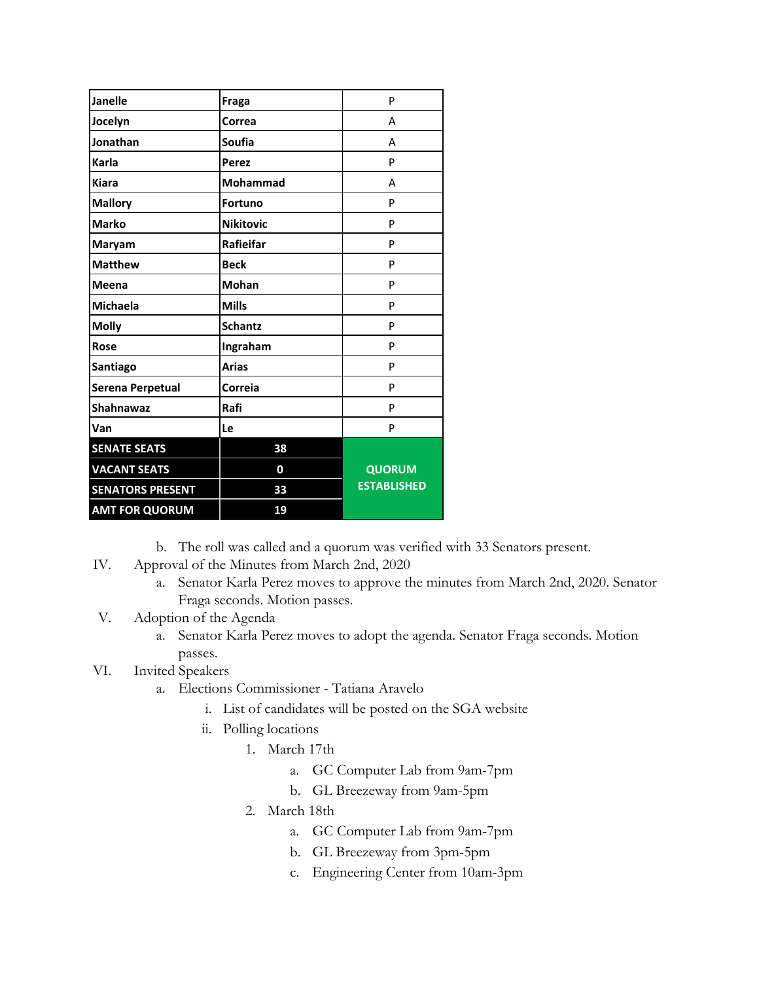| <b>Janelle</b>          | Fraga            | P                  |
|-------------------------|------------------|--------------------|
| Jocelyn                 | Correa           | A                  |
| Jonathan                | Soufia           | А                  |
| Karla                   | <b>Perez</b>     | P                  |
| <b>Kiara</b>            | Mohammad         | А                  |
| <b>Mallory</b>          | <b>Fortuno</b>   | P                  |
| <b>Marko</b>            | <b>Nikitovic</b> | P                  |
| Maryam                  | Rafieifar        | P                  |
| <b>Matthew</b>          | <b>Beck</b>      | P                  |
| <b>Meena</b>            | <b>Mohan</b>     | P                  |
| <b>Michaela</b>         | <b>Mills</b>     | P                  |
| <b>Molly</b>            | <b>Schantz</b>   | P                  |
| Rose                    | Ingraham         | P                  |
| Santiago                | <b>Arias</b>     | P                  |
| Serena Perpetual        | Correia          | P                  |
| Shahnawaz               | Rafi             | P                  |
| Van                     | Le               | P                  |
| <b>SENATE SEATS</b>     | 38               |                    |
| <b>VACANT SEATS</b>     | 0                | <b>QUORUM</b>      |
| <b>SENATORS PRESENT</b> | 33               | <b>ESTABLISHED</b> |
| <b>AMT FOR QUORUM</b>   | 19               |                    |

b. The roll was called and a quorum was verified with 33 Senators present.

- IV. Approval of the Minutes from March 2nd, 2020
	- a. Senator Karla Perez moves to approve the minutes from March 2nd, 2020. Senator Fraga seconds. Motion passes.
- V. Adoption of the Agenda
	- a. Senator Karla Perez moves to adopt the agenda. Senator Fraga seconds. Motion passes.

## VI. Invited Speakers

- a. Elections Commissioner Tatiana Aravelo
	- i. List of candidates will be posted on the SGA website
	- ii. Polling locations
		- 1. March 17th
			- a. GC Computer Lab from 9am-7pm
			- b. GL Breezeway from 9am-5pm
		- 2. March 18th
			- a. GC Computer Lab from 9am-7pm
			- b. GL Breezeway from 3pm-5pm
			- c. Engineering Center from 10am-3pm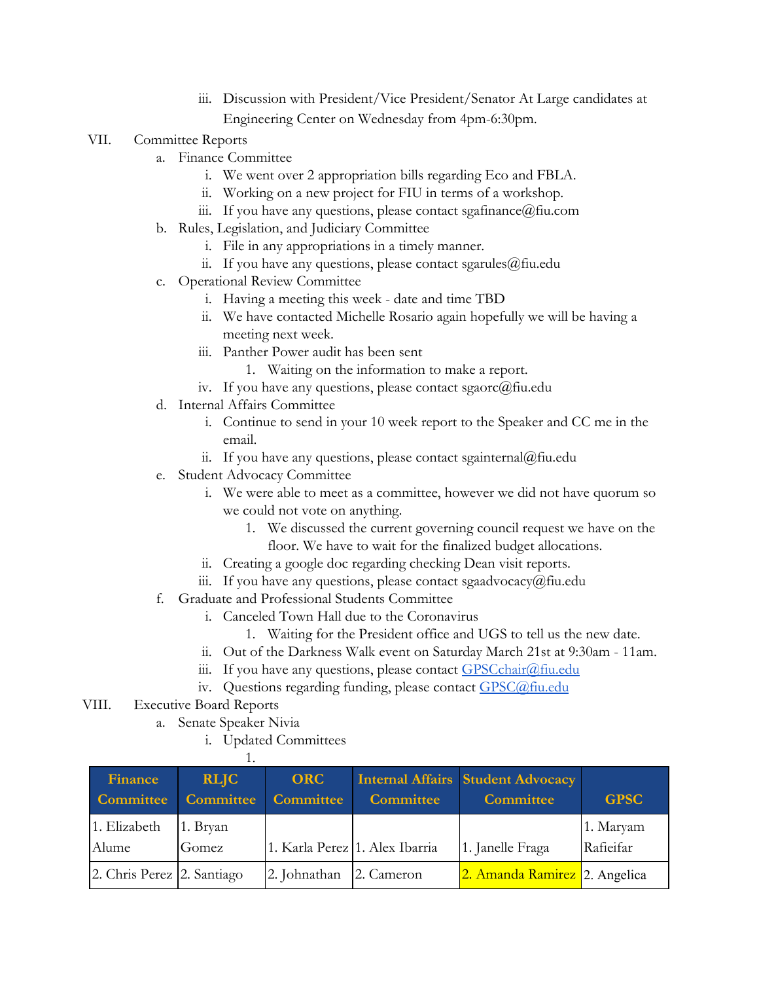- iii. Discussion with President/Vice President/Senator At Large candidates at Engineering Center on Wednesday from 4pm-6:30pm.
- VII. Committee Reports
	- a. Finance Committee
		- i. We went over 2 appropriation bills regarding Eco and FBLA.
		- ii. Working on a new project for FIU in terms of a workshop.
		- iii. If you have any questions, please contact sgafinance  $@$  fiu.com
	- b. Rules, Legislation, and Judiciary Committee
		- i. File in any appropriations in a timely manner.
		- ii. If you have any questions, please contact sgarules $@$ fiu.edu
	- c. Operational Review Committee
		- i. Having a meeting this week date and time TBD
		- ii. We have contacted Michelle Rosario again hopefully we will be having a meeting next week.
		- iii. Panther Power audit has been sent
			- 1. Waiting on the information to make a report.
		- iv. If you have any questions, please contact sgaorc@fiu.edu
	- d. Internal Affairs Committee
		- i. Continue to send in your 10 week report to the Speaker and CC me in the email.
		- ii. If you have any questions, please contact sgainternal@fiu.edu
	- e. Student Advocacy Committee
		- i. We were able to meet as a committee, however we did not have quorum so we could not vote on anything.
			- 1. We discussed the current governing council request we have on the floor. We have to wait for the finalized budget allocations.
		- ii. Creating a google doc regarding checking Dean visit reports.
		- iii. If you have any questions, please contact sgaadvocacy@fiu.edu
	- f. Graduate and Professional Students Committee
		- i. Canceled Town Hall due to the Coronavirus
			- 1. Waiting for the President office and UGS to tell us the new date.
		- ii. Out of the Darkness Walk event on Saturday March 21st at 9:30am 11am.
		- iii. If you have any questions, please contact [GPSCchair@fiu.edu](mailto:GPSCchair@fiu.edu)
		- iv. Questions regarding funding, please contact [GPSC@fiu.edu](mailto:GPC@fiu.edu)
- VIII. Executive Board Reports
	- a. Senate Speaker Nivia
		- i. Updated Committees

| Finance<br><b>Committee</b> | <b>RLIC</b><br>Committee | <b>ORC</b><br><b>Committee</b> | <b>Committee</b> | <b>Internal Affairs Student Advocacy</b><br><b>Committee</b> | <b>GPSC</b>            |
|-----------------------------|--------------------------|--------------------------------|------------------|--------------------------------------------------------------|------------------------|
| 1. Elizabeth<br>Alume       | 1. Bryan<br>Gomez        | 1. Karla Perez 1. Alex Ibarria |                  | 1. Janelle Fraga                                             | 1. Maryam<br>Rafieifar |
| 2. Chris Perez 2. Santiago  |                          | 2. Johnathan                   | 2. Cameron       | 2. Amanda Ramirez 2. Angelica                                |                        |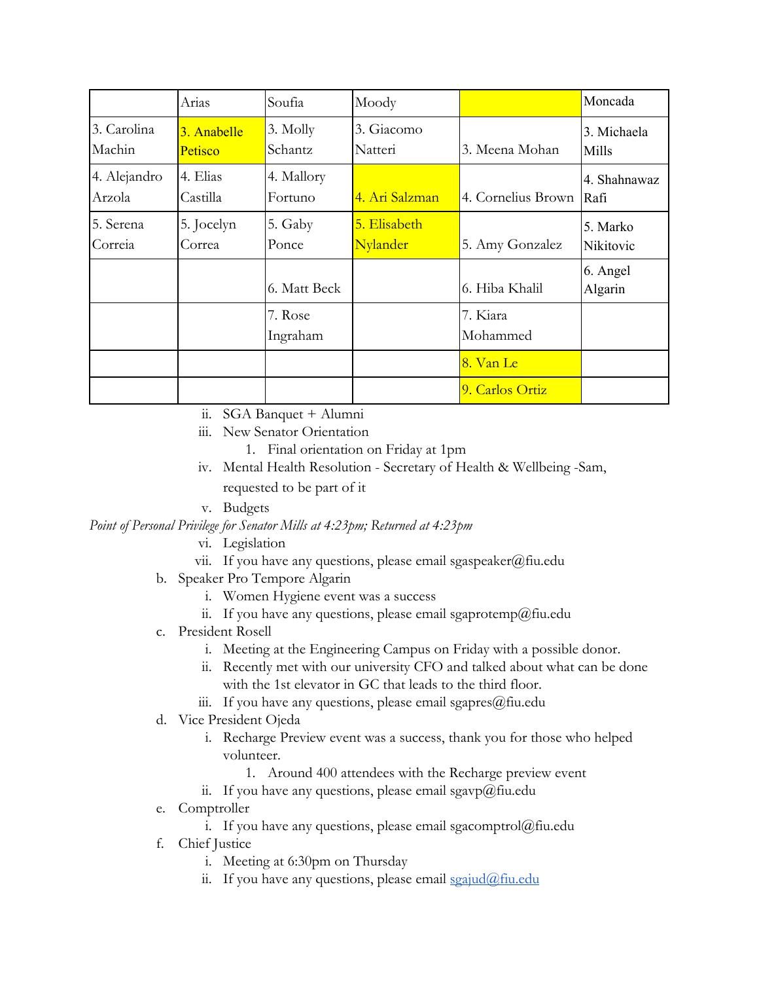|                        | Arias                         | Soufia                | Moody                    |                           | Moncada               |
|------------------------|-------------------------------|-----------------------|--------------------------|---------------------------|-----------------------|
| 3. Carolina<br>Machin  | 3. Anabelle<br><b>Petisco</b> | 3. Molly<br>Schantz   | 3. Giacomo<br>Natteri    | 3. Meena Mohan            | 3. Michaela<br>Mills  |
| 4. Alejandro<br>Arzola | 4. Elias<br>Castilla          | 4. Mallory<br>Fortuno | 4. Ari Salzman           | 4. Cornelius Brown   Rafi | 4. Shahnawaz          |
| 5. Serena<br>Correia   | 5. Jocelyn<br>Correa          | 5. Gaby<br>Ponce      | 5. Elisabeth<br>Nylander | 5. Amy Gonzalez           | 5. Marko<br>Nikitovic |
|                        |                               | 6. Matt Beck          |                          | 6. Hiba Khalil            | 6. Angel<br>Algarin   |
|                        |                               | 7. Rose<br>Ingraham   |                          | 7. Kiara<br>Mohammed      |                       |
|                        |                               |                       |                          | 8. Van Le                 |                       |
|                        |                               |                       |                          | 9. Carlos Ortiz           |                       |

- ii. SGA Banquet + Alumni
- iii. New Senator Orientation
	- 1. Final orientation on Friday at 1pm
- iv. Mental Health Resolution Secretary of Health & Wellbeing -Sam, requested to be part of it
- v. Budgets

*Point of Personal Privilege for Senator Mills at 4:23pm; Returned at 4:23pm*

- vi. Legislation
- vii. If you have any questions, please email sgaspeaker@fiu.edu
- b. Speaker Pro Tempore Algarin
	- i. Women Hygiene event was a success
	- ii. If you have any questions, please email sgaprotemp@fiu.edu
- c. President Rosell
	- i. Meeting at the Engineering Campus on Friday with a possible donor.
	- ii. Recently met with our university CFO and talked about what can be done with the 1st elevator in GC that leads to the third floor.
	- iii. If you have any questions, please email sgapres $@$ fiu.edu
- d. Vice President Ojeda
	- i. Recharge Preview event was a success, thank you for those who helped volunteer.
		- 1. Around 400 attendees with the Recharge preview event
	- ii. If you have any questions, please email sgavp@fiu.edu
- e. Comptroller
	- i. If you have any questions, please email sgacomptrol@fiu.edu
- f. Chief Justice
	- i. Meeting at 6:30pm on Thursday
	- ii. If you have any questions, please email [sgajud@fiu.edu](mailto:sgajud@fiu.edu)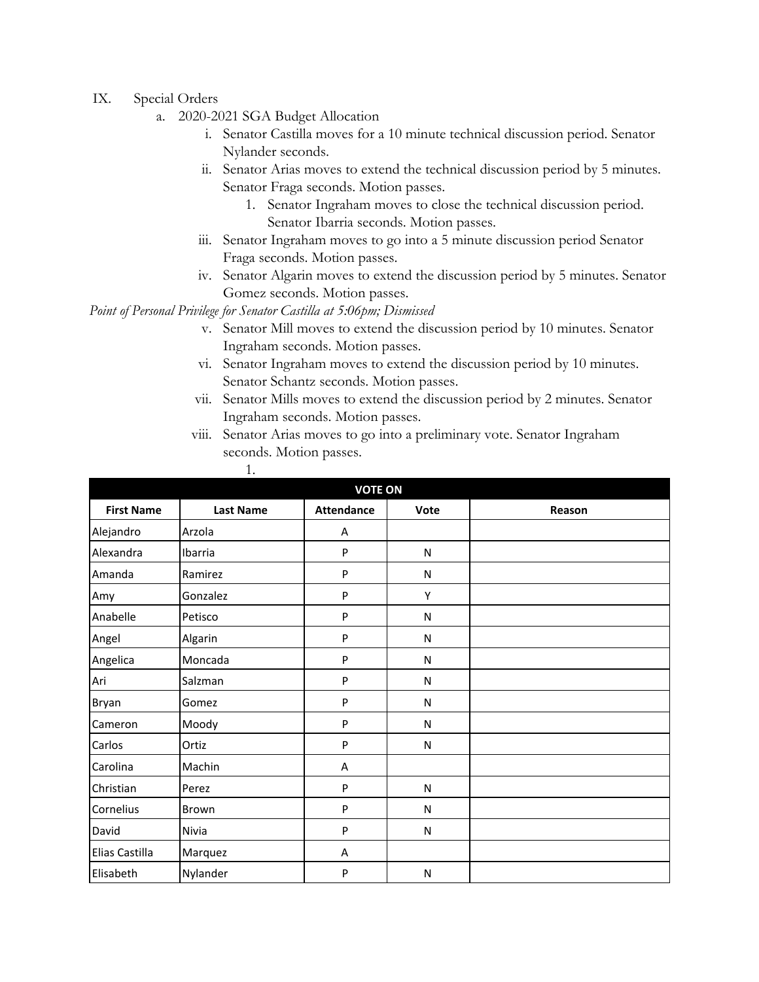- IX. Special Orders
	- a. 2020-2021 SGA Budget Allocation
		- i. Senator Castilla moves for a 10 minute technical discussion period. Senator Nylander seconds.
		- ii. Senator Arias moves to extend the technical discussion period by 5 minutes. Senator Fraga seconds. Motion passes.
			- 1. Senator Ingraham moves to close the technical discussion period. Senator Ibarria seconds. Motion passes.
		- iii. Senator Ingraham moves to go into a 5 minute discussion period Senator Fraga seconds. Motion passes.
		- iv. Senator Algarin moves to extend the discussion period by 5 minutes. Senator Gomez seconds. Motion passes.

*Point of Personal Privilege for Senator Castilla at 5:06pm; Dismissed*

1.

- v. Senator Mill moves to extend the discussion period by 10 minutes. Senator Ingraham seconds. Motion passes.
- vi. Senator Ingraham moves to extend the discussion period by 10 minutes. Senator Schantz seconds. Motion passes.
- vii. Senator Mills moves to extend the discussion period by 2 minutes. Senator Ingraham seconds. Motion passes.
- viii. Senator Arias moves to go into a preliminary vote. Senator Ingraham seconds. Motion passes.

| <b>VOTE ON</b>    |                  |                   |              |        |  |
|-------------------|------------------|-------------------|--------------|--------|--|
| <b>First Name</b> | <b>Last Name</b> | <b>Attendance</b> | Vote         | Reason |  |
| Alejandro         | Arzola           | A                 |              |        |  |
| Alexandra         | Ibarria          | P                 | $\mathsf{N}$ |        |  |
| Amanda            | Ramirez          | P                 | ${\sf N}$    |        |  |
| Amy               | Gonzalez         | P                 | Υ            |        |  |
| Anabelle          | Petisco          | P                 | ${\sf N}$    |        |  |
| Angel             | Algarin          | P                 | ${\sf N}$    |        |  |
| Angelica          | Moncada          | P                 | ${\sf N}$    |        |  |
| Ari               | Salzman          | P                 | ${\sf N}$    |        |  |
| Bryan             | Gomez            | P                 | ${\sf N}$    |        |  |
| Cameron           | Moody            | P                 | ${\sf N}$    |        |  |
| Carlos            | Ortiz            | P                 | ${\sf N}$    |        |  |
| Carolina          | Machin           | A                 |              |        |  |
| Christian         | Perez            | P                 | $\mathsf{N}$ |        |  |
| Cornelius         | Brown            | P                 | ${\sf N}$    |        |  |
| David             | Nivia            | P                 | $\mathsf{N}$ |        |  |
| Elias Castilla    | Marquez          | Α                 |              |        |  |
| Elisabeth         | Nylander         | P                 | N            |        |  |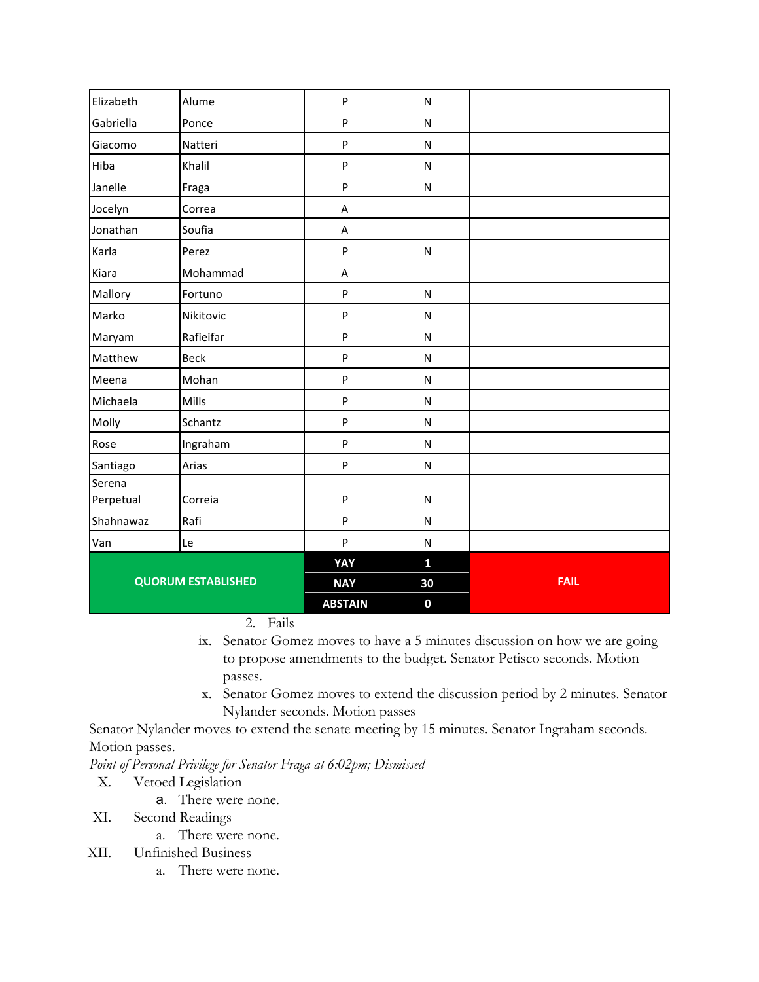| Elizabeth                 | Alume       | P              | $\mathsf{N}$ |             |
|---------------------------|-------------|----------------|--------------|-------------|
| Gabriella                 | Ponce       | P              | ${\sf N}$    |             |
| Giacomo                   | Natteri     | P              | ${\sf N}$    |             |
| Hiba                      | Khalil      | P              | ${\sf N}$    |             |
| Janelle                   | Fraga       | P              | ${\sf N}$    |             |
| Jocelyn                   | Correa      | Α              |              |             |
| Jonathan                  | Soufia      | Α              |              |             |
| Karla                     | Perez       | P              | ${\sf N}$    |             |
| Kiara                     | Mohammad    | Α              |              |             |
| Mallory                   | Fortuno     | P              | ${\sf N}$    |             |
| Marko                     | Nikitovic   | P              | ${\sf N}$    |             |
| Maryam                    | Rafieifar   | P              | ${\sf N}$    |             |
| Matthew                   | <b>Beck</b> | P              | ${\sf N}$    |             |
| Meena                     | Mohan       | P              | ${\sf N}$    |             |
| Michaela                  | Mills       | P              | ${\sf N}$    |             |
| Molly                     | Schantz     | P              | ${\sf N}$    |             |
| Rose                      | Ingraham    | P              | ${\sf N}$    |             |
| Santiago                  | Arias       | P              | ${\sf N}$    |             |
| Serena<br>Perpetual       | Correia     | P              | ${\sf N}$    |             |
| Shahnawaz                 | Rafi        | P              | ${\sf N}$    |             |
| Van                       | Le          | P              | ${\sf N}$    |             |
|                           |             | YAY            | $\mathbf{1}$ |             |
| <b>QUORUM ESTABLISHED</b> |             | <b>NAY</b>     | 30           | <b>FAIL</b> |
|                           |             | <b>ABSTAIN</b> | $\mathbf 0$  |             |

2. Fails

- ix. Senator Gomez moves to have a 5 minutes discussion on how we are going to propose amendments to the budget. Senator Petisco seconds. Motion passes.
- x. Senator Gomez moves to extend the discussion period by 2 minutes. Senator Nylander seconds. Motion passes

Senator Nylander moves to extend the senate meeting by 15 minutes. Senator Ingraham seconds. Motion passes.

*Point of Personal Privilege for Senator Fraga at 6:02pm; Dismissed*

- X. Vetoed Legislation
	- a. There were none.
- XI. Second Readings
	- a. There were none.
- XII. Unfinished Business
	- a. There were none.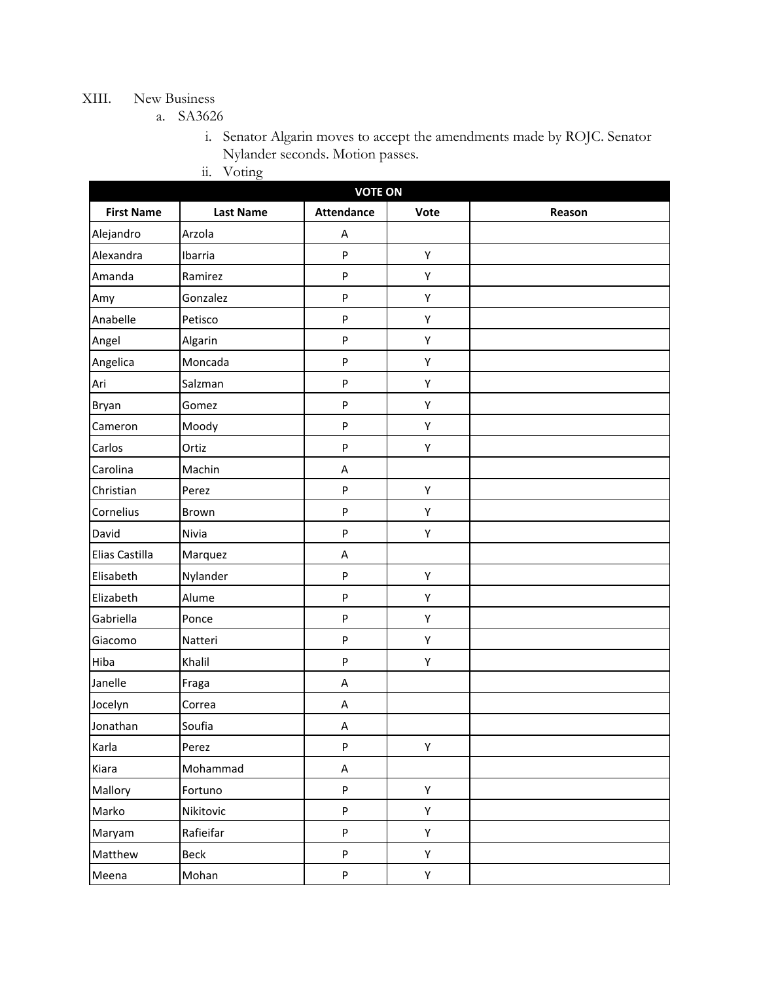### XIII. New Business

a. SA3626

i. Senator Algarin moves to accept the amendments made by ROJC. Senator Nylander seconds. Motion passes.

ii. Voting

| <b>VOTE ON</b>    |                  |                   |             |        |  |  |
|-------------------|------------------|-------------------|-------------|--------|--|--|
| <b>First Name</b> | <b>Last Name</b> | <b>Attendance</b> | Vote        | Reason |  |  |
| Alejandro         | Arzola           | Α                 |             |        |  |  |
| Alexandra         | Ibarria          | P                 | Y           |        |  |  |
| Amanda            | Ramirez          | P                 | Y           |        |  |  |
| Amy               | Gonzalez         | ${\sf P}$         | Υ           |        |  |  |
| Anabelle          | Petisco          | ${\sf P}$         | Y           |        |  |  |
| Angel             | Algarin          | P                 | Υ           |        |  |  |
| Angelica          | Moncada          | P                 | Y           |        |  |  |
| Ari               | Salzman          | P                 | Y           |        |  |  |
| Bryan             | Gomez            | ${\sf P}$         | Y           |        |  |  |
| Cameron           | Moody            | $\mathsf{P}$      | Y           |        |  |  |
| Carlos            | Ortiz            | $\mathsf{P}$      | Y           |        |  |  |
| Carolina          | Machin           | A                 |             |        |  |  |
| Christian         | Perez            | ${\sf P}$         | Υ           |        |  |  |
| Cornelius         | Brown            | P                 | Y           |        |  |  |
| David             | Nivia            | P                 | Υ           |        |  |  |
| Elias Castilla    | Marquez          | A                 |             |        |  |  |
| Elisabeth         | Nylander         | ${\sf P}$         | Y           |        |  |  |
| Elizabeth         | Alume            | P                 | Υ           |        |  |  |
| Gabriella         | Ponce            | $\mathsf{P}$      | Y           |        |  |  |
| Giacomo           | Natteri          | P                 | Y           |        |  |  |
| Hiba              | Khalil           | ${\sf P}$         | Y           |        |  |  |
| Janelle           | Fraga            | Α                 |             |        |  |  |
| Jocelyn           | Correa           | A                 |             |        |  |  |
| Jonathan          | Soufia           | Α                 |             |        |  |  |
| Karla             | Perez            | $\sf P$           | Y           |        |  |  |
| Kiara             | Mohammad         | A                 |             |        |  |  |
| Mallory           | Fortuno          | P                 | Υ           |        |  |  |
| Marko             | Nikitovic        | P                 | Υ           |        |  |  |
| Maryam            | Rafieifar        | P                 | $\mathsf Y$ |        |  |  |
| Matthew           | Beck             | P                 | Y           |        |  |  |
| Meena             | Mohan            | P                 | Y           |        |  |  |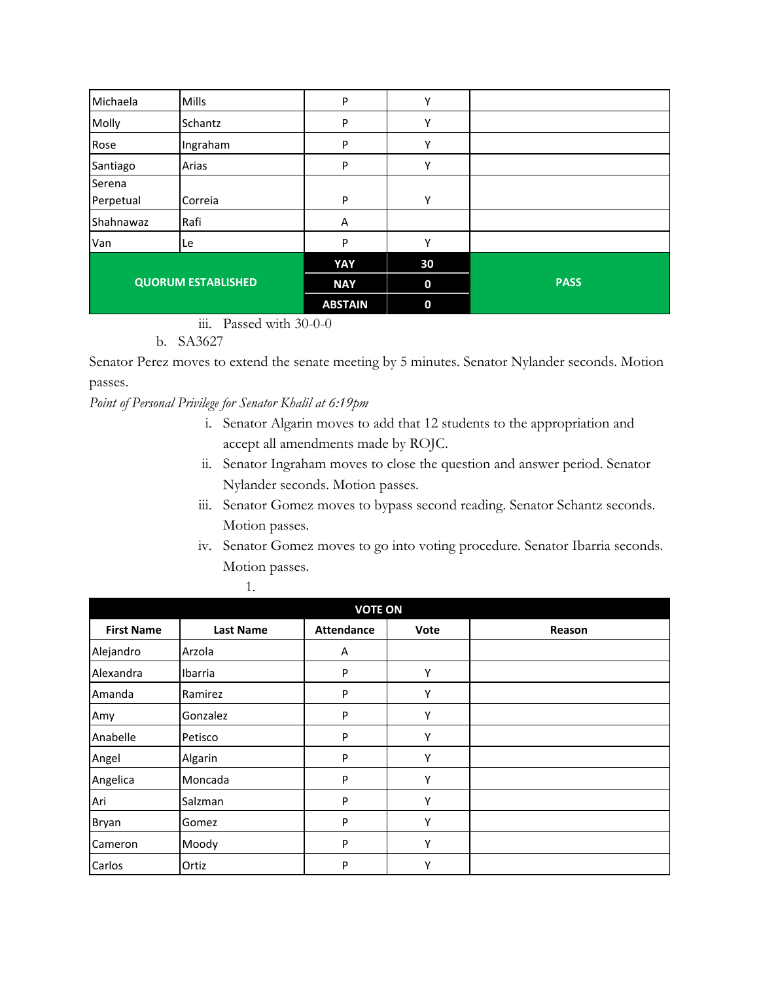| Michaela                  | Mills    | P              | Υ           |             |
|---------------------------|----------|----------------|-------------|-------------|
| Molly                     | Schantz  | P              | Υ           |             |
| Rose                      | Ingraham | P              | Υ           |             |
| Santiago                  | Arias    | P              | Y           |             |
| Serena                    |          |                |             |             |
| Perpetual                 | Correia  | P              | Υ           |             |
| Shahnawaz                 | Rafi     | A              |             |             |
| Van                       | Le       | P              | Y           |             |
|                           |          | YAY            | 30          |             |
| <b>QUORUM ESTABLISHED</b> |          | <b>NAY</b>     | $\bf{0}$    | <b>PASS</b> |
|                           |          | <b>ABSTAIN</b> | $\mathbf 0$ |             |

iii. Passed with 30-0-0

b. SA3627

Senator Perez moves to extend the senate meeting by 5 minutes. Senator Nylander seconds. Motion passes.

*Point of Personal Privilege for Senator Khalil at 6:19pm*

- i. Senator Algarin moves to add that 12 students to the appropriation and accept all amendments made by ROJC.
- ii. Senator Ingraham moves to close the question and answer period. Senator Nylander seconds. Motion passes.
- iii. Senator Gomez moves to bypass second reading. Senator Schantz seconds. Motion passes.
- iv. Senator Gomez moves to go into voting procedure. Senator Ibarria seconds. Motion passes.

| <b>VOTE ON</b>    |                  |                   |      |        |  |
|-------------------|------------------|-------------------|------|--------|--|
| <b>First Name</b> | <b>Last Name</b> | <b>Attendance</b> | Vote | Reason |  |
| Alejandro         | Arzola           | Α                 |      |        |  |
| Alexandra         | Ibarria          | P                 | Υ    |        |  |
| Amanda            | Ramirez          | P                 | Υ    |        |  |
| Amy               | Gonzalez         | P                 | Υ    |        |  |
| Anabelle          | Petisco          | P                 | Υ    |        |  |
| Angel             | Algarin          | P                 | Υ    |        |  |
| Angelica          | Moncada          | P                 | Υ    |        |  |
| Ari               | Salzman          | P                 | Υ    |        |  |
| Bryan             | Gomez            | P                 | Υ    |        |  |
| Cameron           | Moody            | P                 | Υ    |        |  |
| Carlos            | Ortiz            | P                 | Υ    |        |  |

1.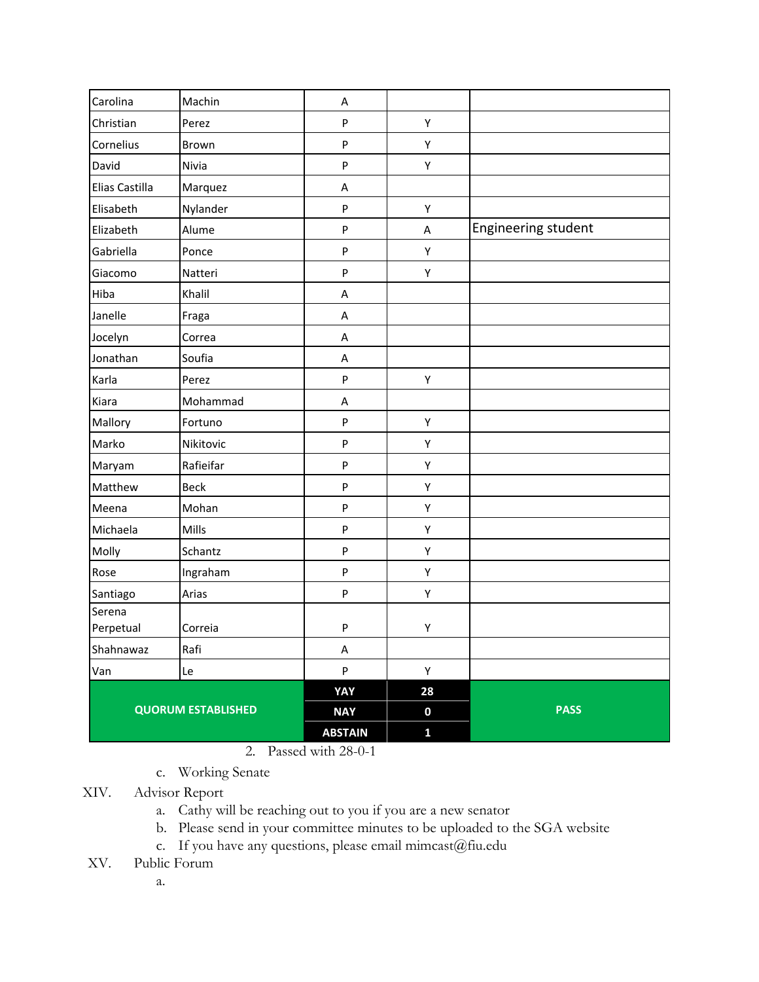| Carolina                  | Machin    | A              |              |                     |
|---------------------------|-----------|----------------|--------------|---------------------|
| Christian                 | Perez     | P              | Υ            |                     |
| Cornelius                 | Brown     | P              | Υ            |                     |
| David                     | Nivia     | P              | Υ            |                     |
| Elias Castilla            | Marquez   | Α              |              |                     |
| Elisabeth                 | Nylander  | P              | Υ            |                     |
| Elizabeth                 | Alume     | P              | Α            | Engineering student |
| Gabriella                 | Ponce     | P              | Υ            |                     |
| Giacomo                   | Natteri   | P              | Υ            |                     |
| Hiba                      | Khalil    | A              |              |                     |
| Janelle                   | Fraga     | A              |              |                     |
| Jocelyn                   | Correa    | A              |              |                     |
| Jonathan                  | Soufia    | A              |              |                     |
| Karla                     | Perez     | P              | Υ            |                     |
| Kiara                     | Mohammad  | Α              |              |                     |
| Mallory                   | Fortuno   | P              | Υ            |                     |
| Marko                     | Nikitovic | P              | Υ            |                     |
| Maryam                    | Rafieifar | P              | Υ            |                     |
| Matthew                   | Beck      | P              | Υ            |                     |
| Meena                     | Mohan     | P              | Υ            |                     |
| Michaela                  | Mills     | P              | Υ            |                     |
| Molly                     | Schantz   | P              | Υ            |                     |
| Rose                      | Ingraham  | P              | Υ            |                     |
| Santiago                  | Arias     | P              | Υ            |                     |
| Serena<br>Perpetual       | Correia   | P              | Υ            |                     |
| Shahnawaz                 | Rafi      | A              |              |                     |
| Van                       | Le        | P              | Υ            |                     |
|                           |           | YAY            | 28           |                     |
| <b>QUORUM ESTABLISHED</b> |           | <b>NAY</b>     | $\mathbf 0$  | <b>PASS</b>         |
|                           |           | <b>ABSTAIN</b> | $\mathbf{1}$ |                     |

#### 2. Passed with 28-0-1

- c. Working Senate
- XIV. Advisor Report
	- a. Cathy will be reaching out to you if you are a new senator
	- b. Please send in your committee minutes to be uploaded to the SGA website
	- c. If you have any questions, please email mimcast@fiu.edu
- XV. Public Forum
	- a.